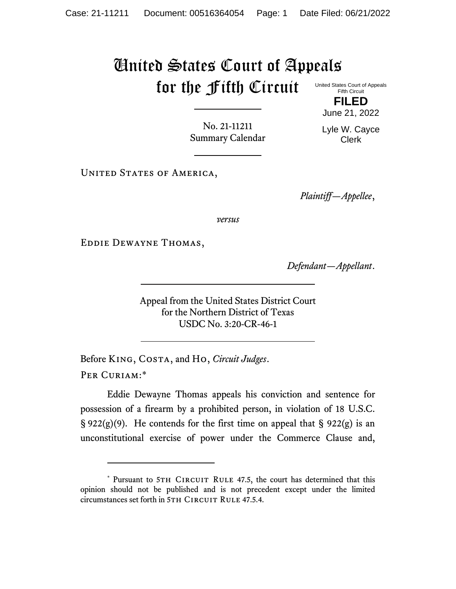## United States Court of Appeals for the Fifth Circuit

No. 21-11211 Summary Calendar

UNITED STATES OF AMERICA,

*Plaintiff—Appellee*,

*versus*

Eddie Dewayne Thomas,

*Defendant—Appellant*.

Appeal from the United States District Court for the Northern District of Texas USDC No. 3:20-CR-46-1

Before King, Costa, and Ho, *Circuit Judges*. Per Curiam:\*

Eddie Dewayne Thomas appeals his conviction and sentence for possession of a firearm by a prohibited person, in violation of 18 U.S.C.  $\S 922(g)(9)$ . He contends for the first time on appeal that  $\S 922(g)$  is an unconstitutional exercise of power under the Commerce Clause and,

United States Court of Appeals Fifth Circuit

**FILED** June 21, 2022

Lyle W. Cayce Clerk

<sup>\*</sup> Pursuant to 5TH CIRCUIT RULE 47.5, the court has determined that this opinion should not be published and is not precedent except under the limited circumstances set forth in 5TH CIRCUIT RULE 47.5.4.